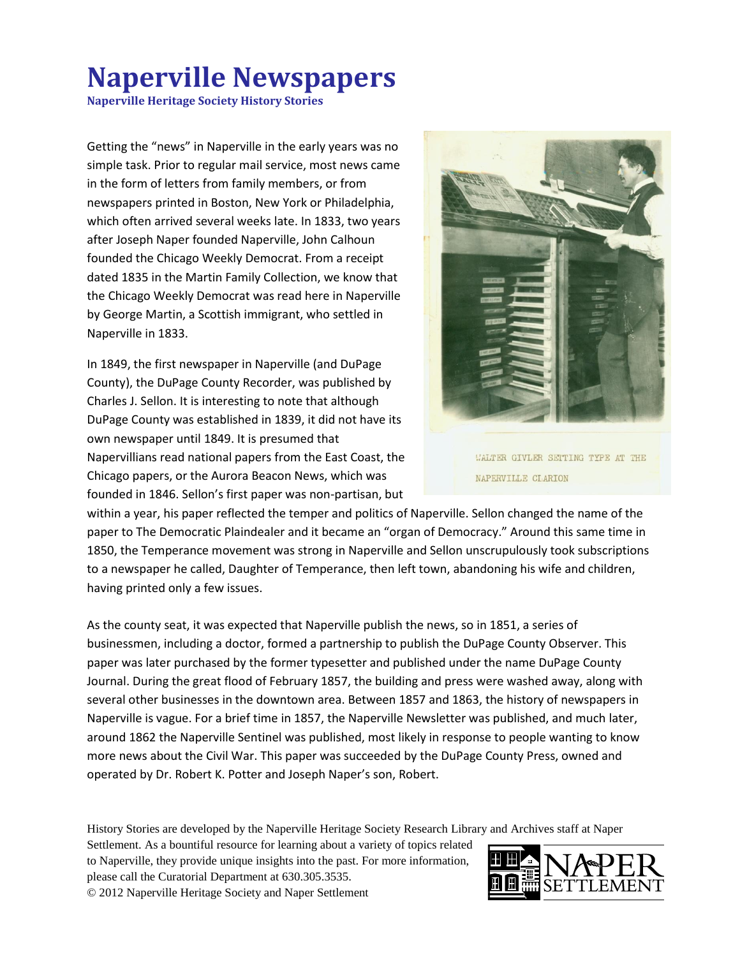## **Naperville Newspapers**

**Naperville Heritage Society History Stories**

Getting the "news" in Naperville in the early years was no simple task. Prior to regular mail service, most news came in the form of letters from family members, or from newspapers printed in Boston, New York or Philadelphia, which often arrived several weeks late. In 1833, two years after Joseph Naper founded Naperville, John Calhoun founded the Chicago Weekly Democrat. From a receipt dated 1835 in the Martin Family Collection, we know that the Chicago Weekly Democrat was read here in Naperville by George Martin, a Scottish immigrant, who settled in Naperville in 1833.

In 1849, the first newspaper in Naperville (and DuPage County), the DuPage County Recorder, was published by Charles J. Sellon. It is interesting to note that although DuPage County was established in 1839, it did not have its own newspaper until 1849. It is presumed that Napervillians read national papers from the East Coast, the Chicago papers, or the Aurora Beacon News, which was founded in 1846. Sellon's first paper was non-partisan, but



WALTER GIVLER SETTING TYPE AT THE NAPERVILLE CLARION

within a year, his paper reflected the temper and politics of Naperville. Sellon changed the name of the paper to The Democratic Plaindealer and it became an "organ of Democracy." Around this same time in 1850, the Temperance movement was strong in Naperville and Sellon unscrupulously took subscriptions to a newspaper he called, Daughter of Temperance, then left town, abandoning his wife and children, having printed only a few issues.

As the county seat, it was expected that Naperville publish the news, so in 1851, a series of businessmen, including a doctor, formed a partnership to publish the DuPage County Observer. This paper was later purchased by the former typesetter and published under the name DuPage County Journal. During the great flood of February 1857, the building and press were washed away, along with several other businesses in the downtown area. Between 1857 and 1863, the history of newspapers in Naperville is vague. For a brief time in 1857, the Naperville Newsletter was published, and much later, around 1862 the Naperville Sentinel was published, most likely in response to people wanting to know more news about the Civil War. This paper was succeeded by the DuPage County Press, owned and operated by Dr. Robert K. Potter and Joseph Naper's son, Robert.

History Stories are developed by the Naperville Heritage Society Research Library and Archives staff at Naper

Settlement. As a bountiful resource for learning about a variety of topics related to Naperville, they provide unique insights into the past. For more information, please call the Curatorial Department at 630.305.3535. © 2012 Naperville Heritage Society and Naper Settlement